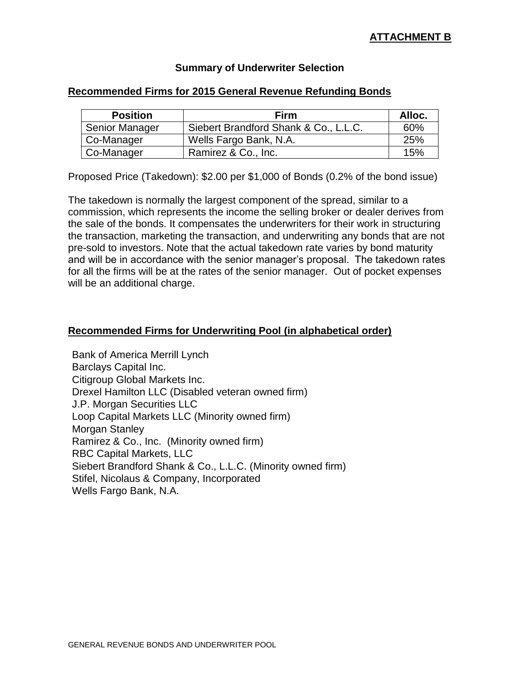## **Summary of Underwriter Selection**

## **Recommended Firms for 2015 General Revenue Refunding Bonds**

| <b>Position</b>       | Firm                                  | Alloc. |
|-----------------------|---------------------------------------|--------|
| <b>Senior Manager</b> | Siebert Brandford Shank & Co., L.L.C. | 60%    |
| Co-Manager            | Wells Fargo Bank, N.A.                | 25%    |
| Co-Manager            | Ramirez & Co., Inc.                   | 15%    |

Proposed Price (Takedown): \$2.00 per \$1,000 of Bonds (0.2% of the bond issue)

The takedown is normally the largest component of the spread, similar to a commission, which represents the income the selling broker or dealer derives from the sale of the bonds. It compensates the underwriters for their work in structuring the transaction, marketing the transaction, and underwriting any bonds that are not pre-sold to investors. Note that the actual takedown rate varies by bond maturity and will be in accordance with the senior manager's proposal. The takedown rates for all the firms will be at the rates of the senior manager. Out of pocket expenses will be an additional charge.

## **Recommended Firms for Underwriting Pool (in alphabetical order)**

Bank of America Merrill Lynch Barclays Capital Inc. Citigroup Global Markets Inc. Drexel Hamilton LLC (Disabled veteran owned firm) J.P. Morgan Securities LLC Loop Capital Markets LLC (Minority owned firm) Morgan Stanley Ramirez & Co., Inc. (Minority owned firm) RBC Capital Markets, LLC Siebert Brandford Shank & Co., L.L.C. (Minority owned firm) Stifel, Nicolaus & Company, Incorporated Wells Fargo Bank, N.A.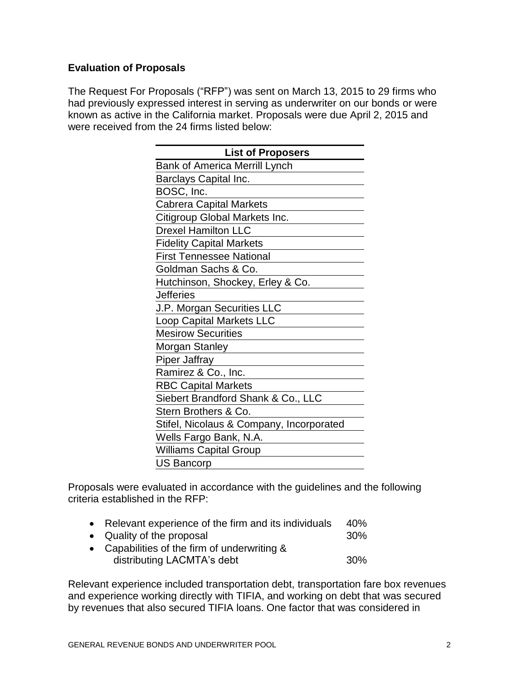## **Evaluation of Proposals**

The Request For Proposals ("RFP") was sent on March 13, 2015 to 29 firms who had previously expressed interest in serving as underwriter on our bonds or were known as active in the California market. Proposals were due April 2, 2015 and were received from the 24 firms listed below:

| <b>List of Proposers</b>                 |  |  |
|------------------------------------------|--|--|
| <b>Bank of America Merrill Lynch</b>     |  |  |
| Barclays Capital Inc.                    |  |  |
| BOSC, Inc.                               |  |  |
| <b>Cabrera Capital Markets</b>           |  |  |
| Citigroup Global Markets Inc.            |  |  |
| <b>Drexel Hamilton LLC</b>               |  |  |
| <b>Fidelity Capital Markets</b>          |  |  |
| <b>First Tennessee National</b>          |  |  |
| Goldman Sachs & Co.                      |  |  |
| Hutchinson, Shockey, Erley & Co.         |  |  |
| <b>Jefferies</b>                         |  |  |
| J.P. Morgan Securities LLC               |  |  |
| <b>Loop Capital Markets LLC</b>          |  |  |
| <b>Mesirow Securities</b>                |  |  |
| Morgan Stanley                           |  |  |
| Piper Jaffray                            |  |  |
| Ramirez & Co., Inc.                      |  |  |
| <b>RBC Capital Markets</b>               |  |  |
| Siebert Brandford Shank & Co., LLC       |  |  |
| Stern Brothers & Co.                     |  |  |
| Stifel, Nicolaus & Company, Incorporated |  |  |
| Wells Fargo Bank, N.A.                   |  |  |
| <b>Williams Capital Group</b>            |  |  |
| <b>US Bancorp</b>                        |  |  |

Proposals were evaluated in accordance with the guidelines and the following criteria established in the RFP:

- Relevant experience of the firm and its individuals 40%
- Quality of the proposal 30% Capabilities of the firm of underwriting & distributing LACMTA's debt 30%

Relevant experience included transportation debt, transportation fare box revenues and experience working directly with TIFIA, and working on debt that was secured by revenues that also secured TIFIA loans. One factor that was considered in